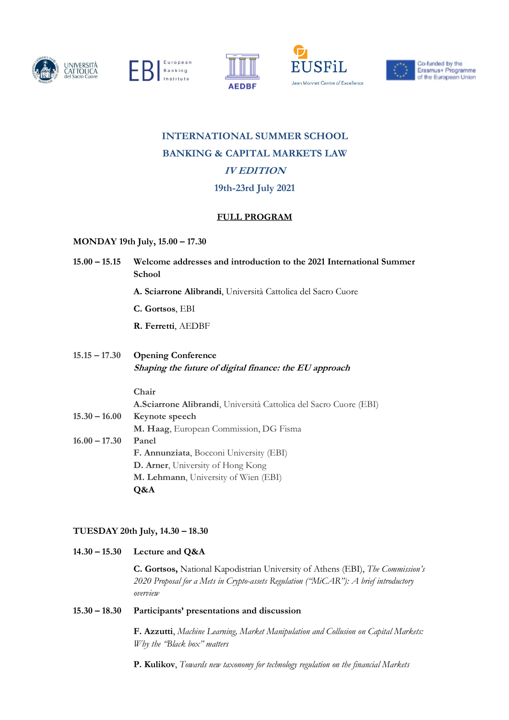









# **INTERNATIONAL SUMMER SCHOOL BANKING & CAPITAL MARKETS LAW IV EDITION 19th-23rd July 2021**

# **FULL PROGRAM**

## **MONDAY 19th July, 15.00 – 17.30**

**15.00 – 15.15 Welcome addresses and introduction to the 2021 International Summer School**

**A. Sciarrone Alibrandi**, Università Cattolica del Sacro Cuore

**C. Gortsos**, EBI

**R. Ferretti**, AEDBF

**15.15 – 17.30 Opening Conference Shaping the future of digital finance: the EU approach**

### **Chair**

**A.Sciarrone Alibrandi**, Università Cattolica del Sacro Cuore (EBI) **15.30 – 16.00 Keynote speech M. Haag**, European Commission, DG Fisma **16.00 – 17.30 Panel F. Annunziata**, Bocconi University (EBI) **D. Arner**, University of Hong Kong **M. Lehmann**, University of Wien (EBI) **Q&A**

## **TUESDAY 20th July, 14.30 – 18.30**

**14.30 – 15.30 Lecture and Q&A**

**C. Gortsos,** National Kapodistrian University of Athens (EBI), *The Commission's 2020 Proposal for a Mets in Crypto-assets Regulation ("MiCAR"): A brief introductory overview*

### **15.30 – 18.30 Participants' presentations and discussion**

**F. Azzutti**, *Machine Learning, Market Manipulation and Collusion on Capital Markets: Why the "Black box" matters* 

**P. Kulikov**, *Towards new taxonomy for technology regulation on the financial Markets*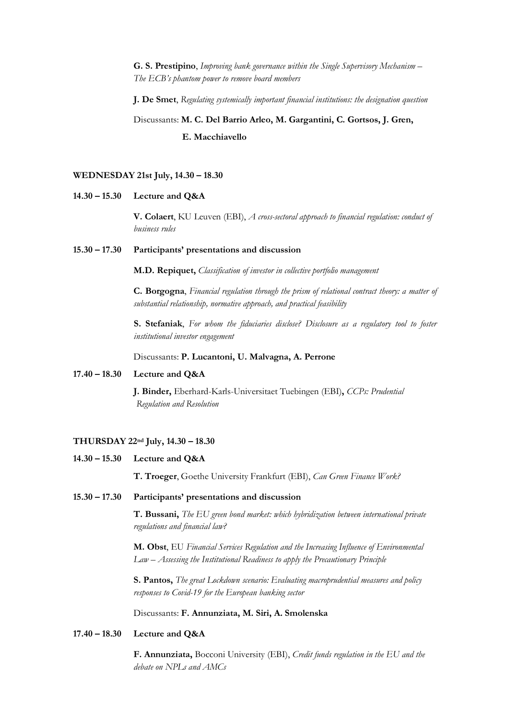**G. S. Prestipino**, *Improving bank governance within the Single Supervisory Mechanism – The ECB's phantom power to remove board members*

**J. De Smet**, *Regulating systemically important financial institutions: the designation question*

# Discussants: **M. C. Del Barrio Arleo, M. Gargantini, C. Gortsos, J. Gren, E. Macchiavello**

#### **WEDNESDAY 21st July, 14.30 – 18.30**

#### **14.30 – 15.30 Lecture and Q&A**

**V. Colaert**, KU Leuven (EBI), *A cross-sectoral approach to financial regulation: conduct of business rules*

#### **15.30 – 17.30 Participants' presentations and discussion**

**M.D. Repiquet,** *Classification of investor in collective portfolio management*

**C. Borgogna**, *Financial regulation through the prism of relational contract theory: a matter of substantial relationship, normative approach, and practical feasibility*

**S. Stefaniak**, *For whom the fiduciaries disclose? Disclosure as a regulatory tool to foster institutional investor engagement*

Discussants: **P. Lucantoni, U. Malvagna, A. Perrone**

#### **17.40 – 18.30 Lecture and Q&A**

**J. Binder,** Eberhard-Karls-Universitaet Tuebingen (EBI)**,** *CCPs: Prudential Regulation and Resolution*

#### **THURSDAY 22nd July, 14.30 – 18.30**

**14.30 – 15.30 Lecture and Q&A**

**T. Troeger**, Goethe University Frankfurt (EBI), *Can Green Finance Work?* 

#### **15.30 – 17.30 Participants' presentations and discussion**

**T. Bussani,** *The EU green bond market: which hybridization between international private regulations and financial law?*

**M. Obst**, EU *Financial Services Regulation and the Increasing Influence of Environmental Law – Assessing the Institutional Readiness to apply the Precautionary Principle*

**S. Pantos,** *The great Lockdown scenario: Evaluating macroprudential measures and policy responses to Covid-19 for the European banking sector*

Discussants: **F. Annunziata, M. Siri, A. Smolenska**

#### **17.40 – 18.30 Lecture and Q&A**

**F. Annunziata,** Bocconi University (EBI), *Credit funds regulation in the EU and the debate on NPLs and AMCs*